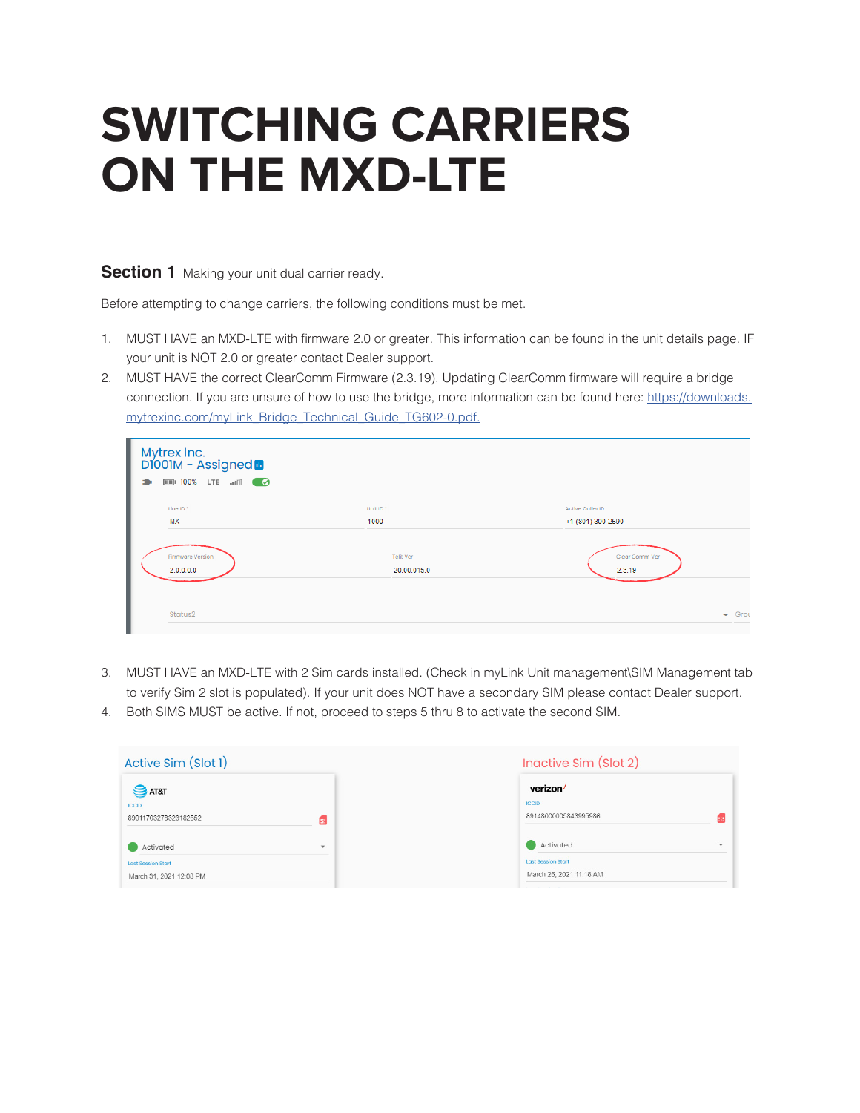# **SWITCHING CARRIERS ON THE MXD-LTE**

# **Section 1** Making your unit dual carrier ready.

Before attempting to change carriers, the following conditions must be met.

- 1. MUST HAVE an MXD-LTE with firmware 2.0 or greater. This information can be found in the unit details page. IF your unit is NOT 2.0 or greater contact Dealer support.
- 2. MUST HAVE the correct ClearComm Firmware (2.3.19). Updating ClearComm firmware will require a bridge connection. If you are unsure of how to use the bridge, more information can be found here: https://downloads. mytrexinc.com/myLink\_Bridge\_Technical\_Guide\_TG602-0.pdf.

| Mytrex Inc.<br>D1001M - Assigned <b>a</b><br><b>EDI</b> 100% LTE and <b>CO</b><br>÷ |                  |                   |
|-------------------------------------------------------------------------------------|------------------|-------------------|
| Line ID <sup>*</sup>                                                                | Unit ID*         | Active Caller ID  |
| <b>MX</b>                                                                           | 1000             | +1 (801) 300-2590 |
| Firmware Version                                                                    | <b>Telit Ver</b> | Clear Comm Ver    |
| 2.0.0.0.0                                                                           | 20.00.015.0      | 2.3.19            |
| Status2                                                                             |                  | $\div$ Grou       |

- 3. MUST HAVE an MXD-LTE with 2 Sim cards installed. (Check in myLink Unit management\SIM Management tab to verify Sim 2 slot is populated). If your unit does NOT have a secondary SIM please contact Dealer support.
- 4. Both SIMS MUST be active. If not, proceed to steps 5 thru 8 to activate the second SIM.

| Active Sim (Slot 1)                                  |                         | Inactive Sim (Slot 2)                                |  |  |
|------------------------------------------------------|-------------------------|------------------------------------------------------|--|--|
| <b>SAT&amp;T</b><br><b>ICCID</b>                     |                         | verizon<br><b>ICCID</b>                              |  |  |
| 89011703278323182652                                 | 崛                       | 89148000005843995986                                 |  |  |
| Activated                                            | $\overline{\mathbf{v}}$ | Activated                                            |  |  |
| <b>Last Session Start</b><br>March 31, 2021 12:08 PM |                         | <b>Last Session Start</b><br>March 26, 2021 11:18 AM |  |  |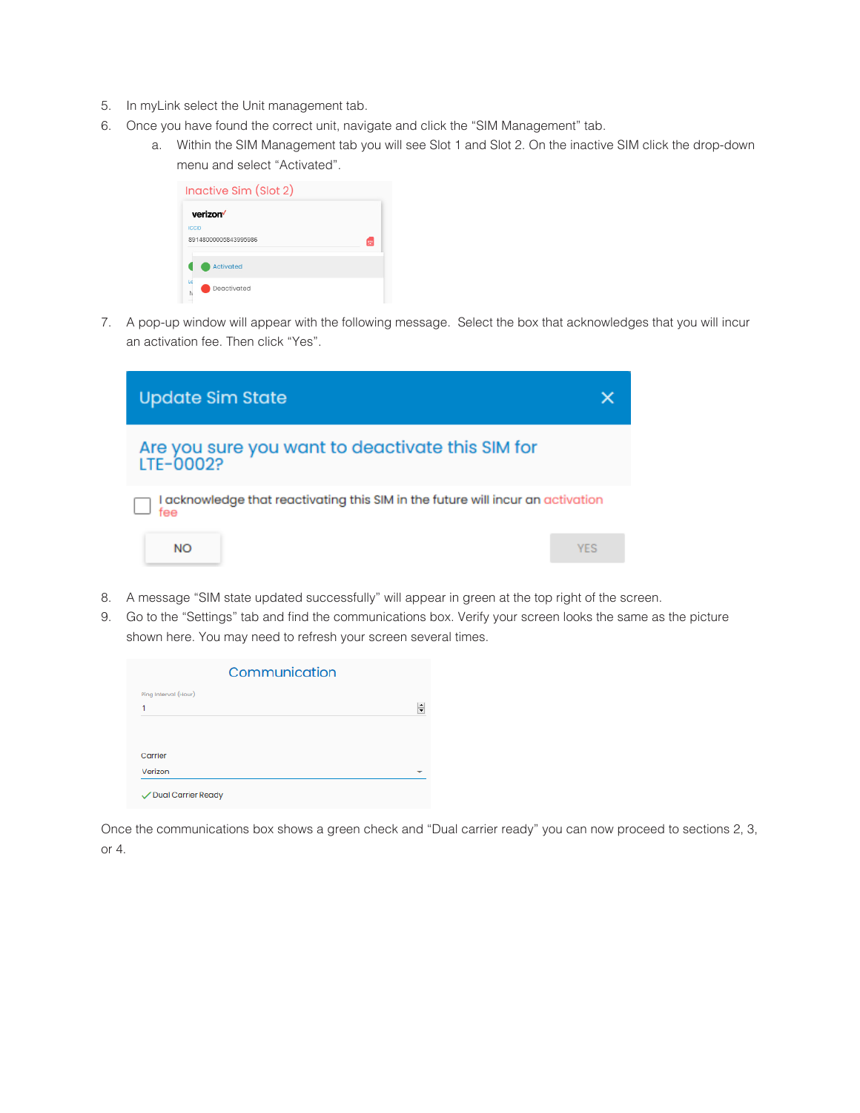- 5. In myLink select the Unit management tab.
- 6. Once you have found the correct unit, navigate and click the "SIM Management" tab.
	- a. Within the SIM Management tab you will see Slot 1 and Slot 2. On the inactive SIM click the drop-down menu and select "Activated".

| verizon <sup>V</sup> |                      |   |
|----------------------|----------------------|---|
| <b>ICCID</b>         |                      |   |
|                      | 89148000005843995986 | m |
|                      | <b>Activated</b>     |   |

7. A pop-up window will appear with the following message. Select the box that acknowledges that you will incur an activation fee. Then click "Yes".



- 8. A message "SIM state updated successfully" will appear in green at the top right of the screen.
- 9. Go to the "Settings" tab and find the communications box. Verify your screen looks the same as the picture shown here. You may need to refresh your screen several times.

| Ping Interval (Hour) |  |
|----------------------|--|
| 1                    |  |
|                      |  |
|                      |  |
|                      |  |
| Carrier              |  |
| Verizon              |  |

Once the communications box shows a green check and "Dual carrier ready" you can now proceed to sections 2, 3, or 4.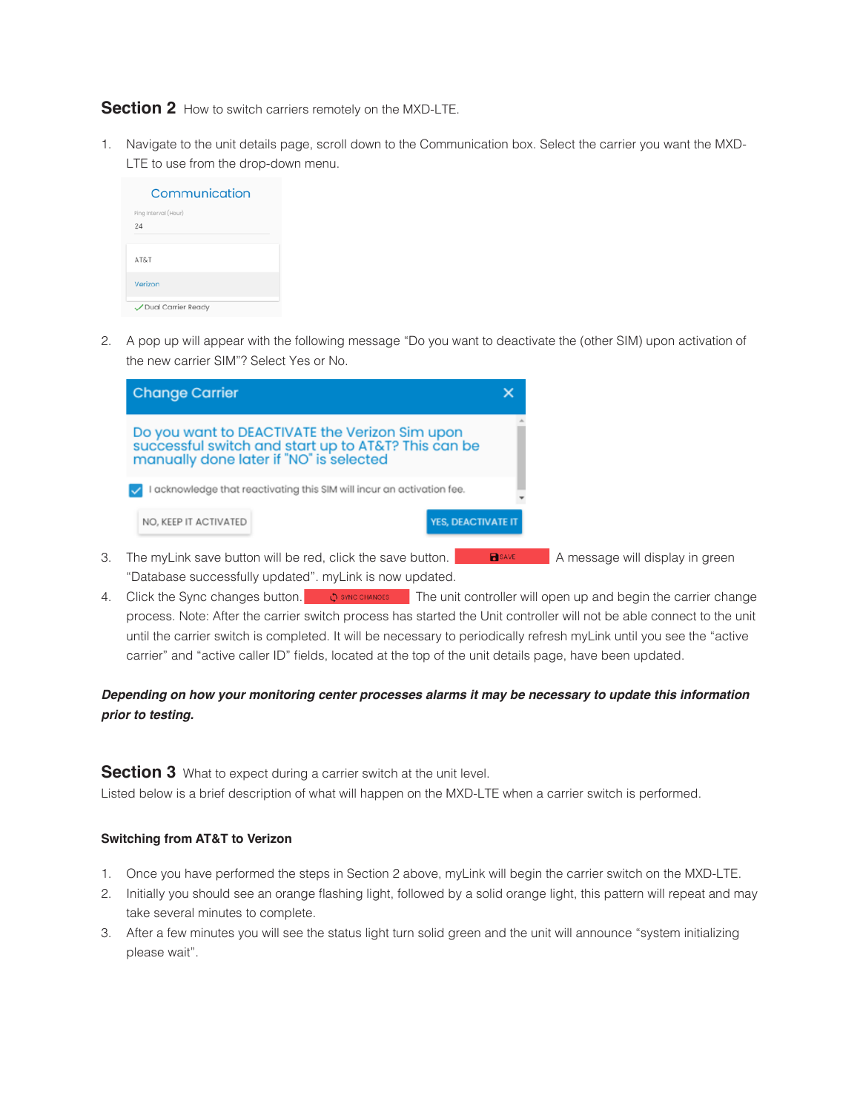### **Section 2** How to switch carriers remotely on the MXD-LTE.

1. Navigate to the unit details page, scroll down to the Communication box. Select the carrier you want the MXD-LTE to use from the drop-down menu.

| Communication              |
|----------------------------|
| Ping Interval (Hour)<br>24 |
| AT&T                       |
| Verizon                    |
| Dual Carrier Ready         |

2. A pop up will appear with the following message "Do you want to deactivate the (other SIM) upon activation of the new carrier SIM"? Select Yes or No.



- 3. The myLink save button will be red, click the save button. **B** a message will display in green "Database successfully updated". myLink is now updated.
- 4. Click the Sync changes button.  $\bullet$  SYNC CHANGES The unit controller will open up and begin the carrier change process. Note: After the carrier switch process has started the Unit controller will not be able connect to the unit until the carrier switch is completed. It will be necessary to periodically refresh myLink until you see the "active carrier" and "active caller ID" fields, located at the top of the unit details page, have been updated.

# *Depending on how your monitoring center processes alarms it may be necessary to update this information prior to testing.*

**Section 3** What to expect during a carrier switch at the unit level. Listed below is a brief description of what will happen on the MXD-LTE when a carrier switch is performed.

#### **Switching from AT&T to Verizon**

- 1. Once you have performed the steps in Section 2 above, myLink will begin the carrier switch on the MXD-LTE.
- 2. Initially you should see an orange flashing light, followed by a solid orange light, this pattern will repeat and may take several minutes to complete.
- 3. After a few minutes you will see the status light turn solid green and the unit will announce "system initializing please wait".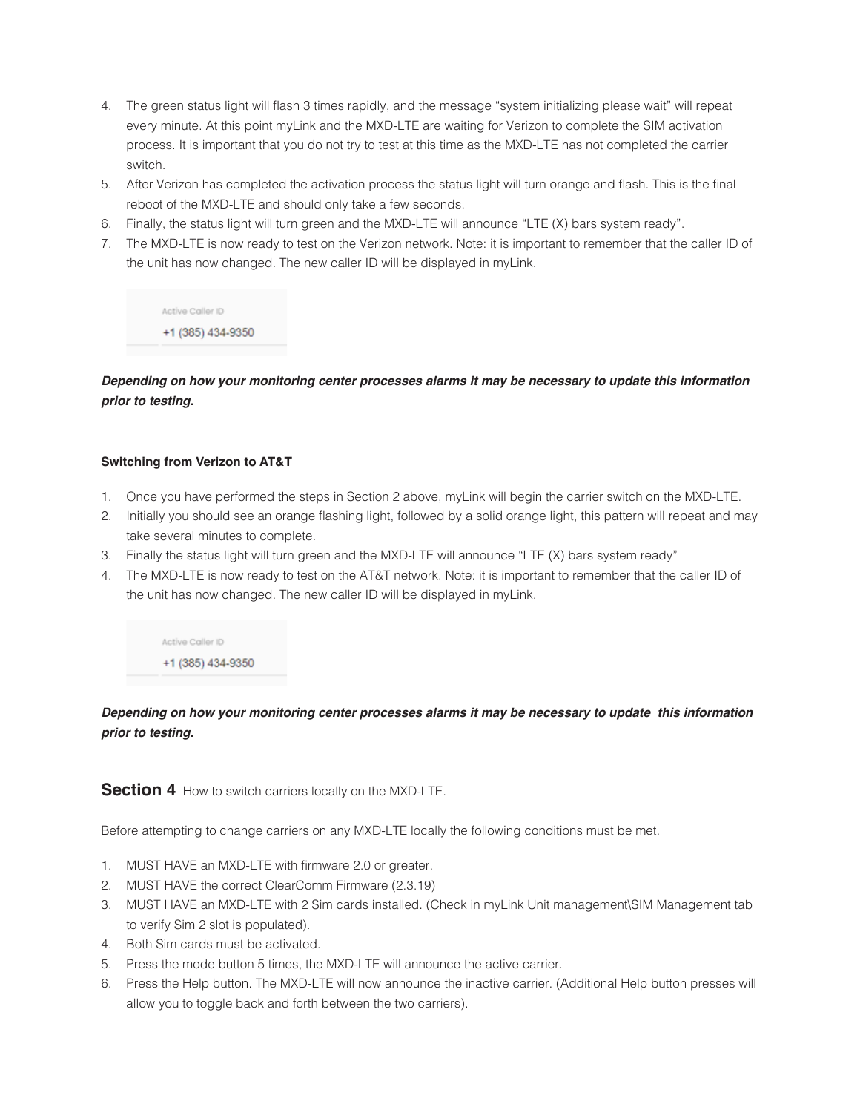- 4. The green status light will flash 3 times rapidly, and the message "system initializing please wait" will repeat every minute. At this point myLink and the MXD-LTE are waiting for Verizon to complete the SIM activation process. It is important that you do not try to test at this time as the MXD-LTE has not completed the carrier switch.
- 5. After Verizon has completed the activation process the status light will turn orange and flash. This is the final reboot of the MXD-LTE and should only take a few seconds.
- 6. Finally, the status light will turn green and the MXD-LTE will announce "LTE (X) bars system ready".
- 7. The MXD-LTE is now ready to test on the Verizon network. Note: it is important to remember that the caller ID of the unit has now changed. The new caller ID will be displayed in myLink.

Active Caller ID +1 (385) 434-9350

*Depending on how your monitoring center processes alarms it may be necessary to update this information prior to testing.* 

#### **Switching from Verizon to AT&T**

- 1. Once you have performed the steps in Section 2 above, myLink will begin the carrier switch on the MXD-LTE.
- 2. Initially you should see an orange flashing light, followed by a solid orange light, this pattern will repeat and may take several minutes to complete.
- 3. Finally the status light will turn green and the MXD-LTE will announce "LTE (X) bars system ready"
- 4. The MXD-LTE is now ready to test on the AT&T network. Note: it is important to remember that the caller ID of the unit has now changed. The new caller ID will be displayed in myLink.

Active Caller ID +1 (385) 434-9350

*Depending on how your monitoring center processes alarms it may be necessary to update this information prior to testing.*

#### **Section 4** How to switch carriers locally on the MXD-LTE.

Before attempting to change carriers on any MXD-LTE locally the following conditions must be met.

- 1. MUST HAVE an MXD-LTE with firmware 2.0 or greater.
- 2. MUST HAVE the correct ClearComm Firmware (2.3.19)
- 3. MUST HAVE an MXD-LTE with 2 Sim cards installed. (Check in myLink Unit management\SIM Management tab to verify Sim 2 slot is populated).
- 4. Both Sim cards must be activated.
- 5. Press the mode button 5 times, the MXD-LTE will announce the active carrier.
- 6. Press the Help button. The MXD-LTE will now announce the inactive carrier. (Additional Help button presses will allow you to toggle back and forth between the two carriers).